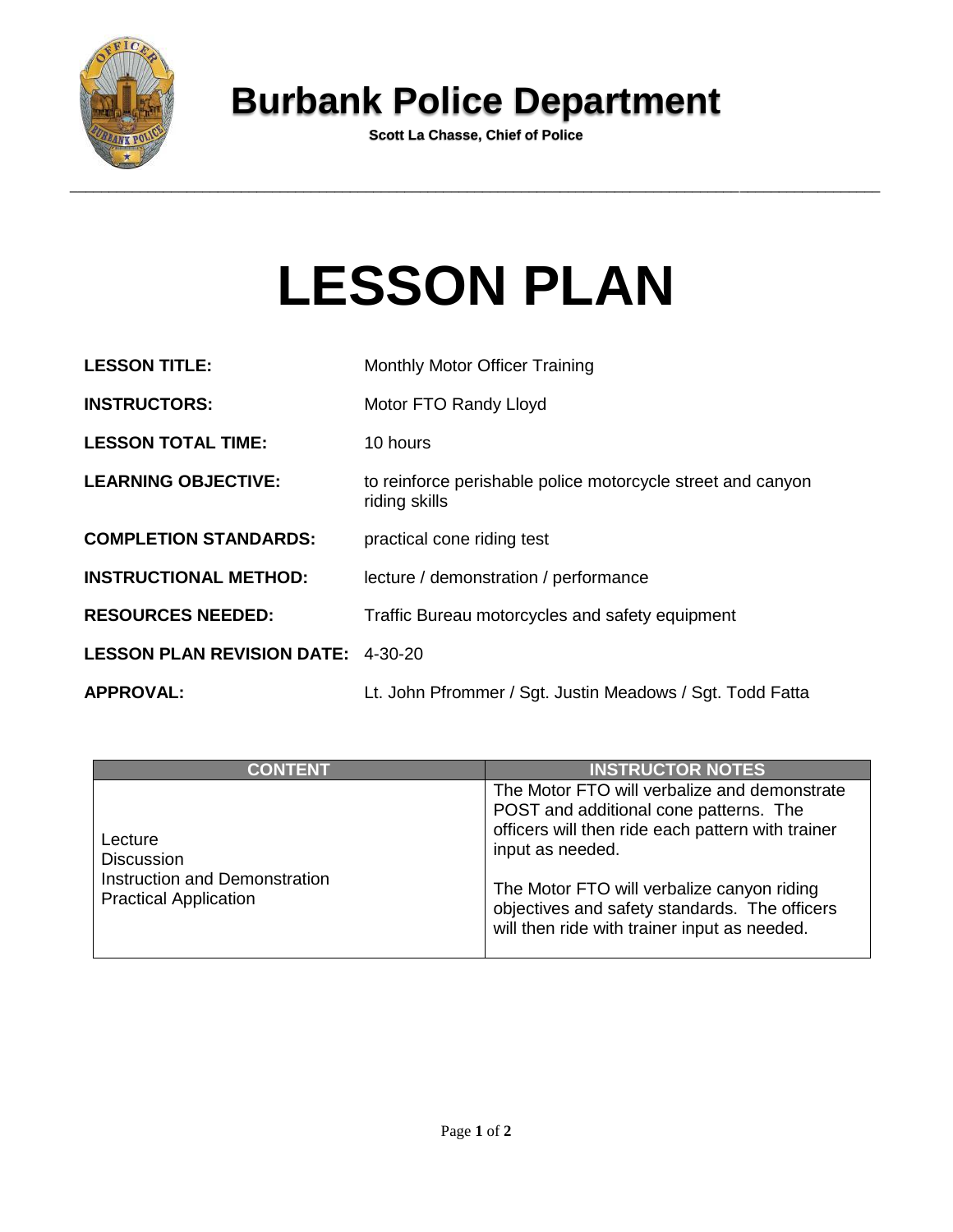

## **Burbank Police Department**

**Scott La Chasse, Chief of Police**

## **LESSON PLAN**

| <b>LESSON TITLE:</b>                      | Monthly Motor Officer Training                                               |
|-------------------------------------------|------------------------------------------------------------------------------|
| <b>INSTRUCTORS:</b>                       | Motor FTO Randy Lloyd                                                        |
| <b>LESSON TOTAL TIME:</b>                 | 10 hours                                                                     |
| <b>LEARNING OBJECTIVE:</b>                | to reinforce perishable police motorcycle street and canyon<br>riding skills |
| <b>COMPLETION STANDARDS:</b>              | practical cone riding test                                                   |
| <b>INSTRUCTIONAL METHOD:</b>              | lecture / demonstration / performance                                        |
| <b>RESOURCES NEEDED:</b>                  | Traffic Bureau motorcycles and safety equipment                              |
| <b>LESSON PLAN REVISION DATE: 4-30-20</b> |                                                                              |
| <b>APPROVAL:</b>                          | Lt. John Pfrommer / Sgt. Justin Meadows / Sgt. Todd Fatta                    |

| <b>CONTENT</b>                                                                                | <b>INSTRUCTOR NOTES</b>                                                                                                                                                                                                                                                                                        |
|-----------------------------------------------------------------------------------------------|----------------------------------------------------------------------------------------------------------------------------------------------------------------------------------------------------------------------------------------------------------------------------------------------------------------|
| Lecture<br><b>Discussion</b><br>Instruction and Demonstration<br><b>Practical Application</b> | The Motor FTO will verbalize and demonstrate<br>POST and additional cone patterns. The<br>officers will then ride each pattern with trainer<br>input as needed.<br>The Motor FTO will verbalize canyon riding<br>objectives and safety standards. The officers<br>will then ride with trainer input as needed. |